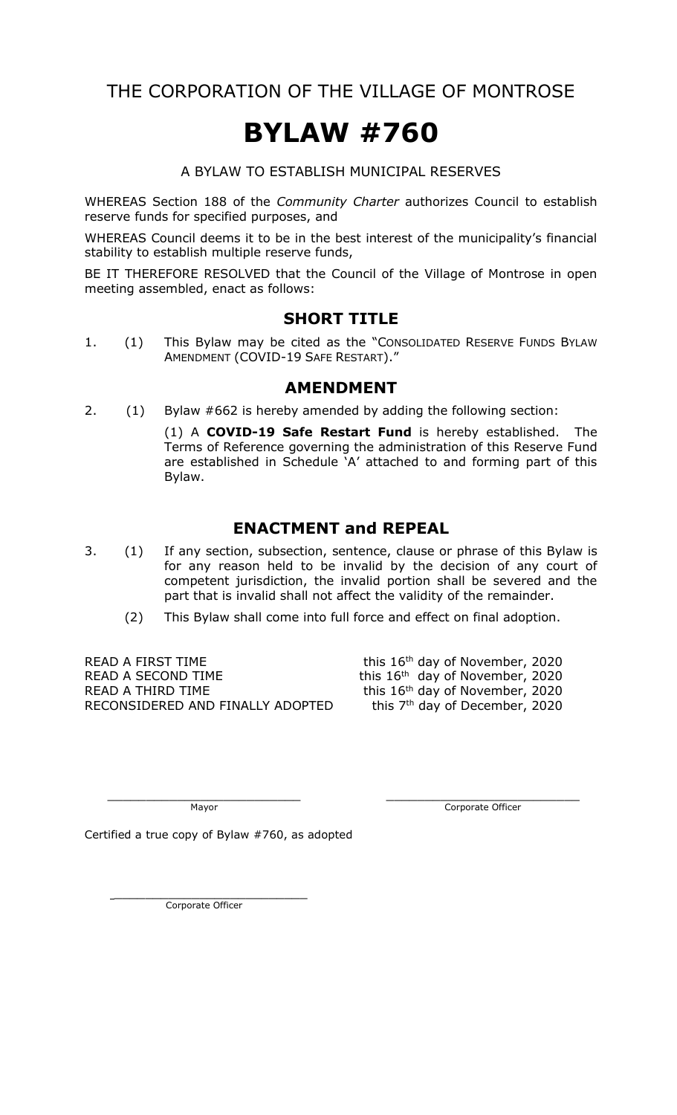THE CORPORATION OF THE VILLAGE OF MONTROSE

# **BYLAW #760**

A BYLAW TO ESTABLISH MUNICIPAL RESERVES

WHEREAS Section 188 of the *Community Charter* authorizes Council to establish reserve funds for specified purposes, and

WHEREAS Council deems it to be in the best interest of the municipality's financial stability to establish multiple reserve funds,

BE IT THEREFORE RESOLVED that the Council of the Village of Montrose in open meeting assembled, enact as follows:

#### **SHORT TITLE**

1. (1) This Bylaw may be cited as the "CONSOLIDATED RESERVE FUNDS BYLAW AMENDMENT (COVID-19 SAFE RESTART)."

#### **AMENDMENT**

2. (1) Bylaw #662 is hereby amended by adding the following section:

(1) A **COVID-19 Safe Restart Fund** is hereby established. The Terms of Reference governing the administration of this Reserve Fund are established in Schedule 'A' attached to and forming part of this Bylaw.

#### **ENACTMENT and REPEAL**

- 3. (1) If any section, subsection, sentence, clause or phrase of this Bylaw is for any reason held to be invalid by the decision of any court of competent jurisdiction, the invalid portion shall be severed and the part that is invalid shall not affect the validity of the remainder.
	- (2) This Bylaw shall come into full force and effect on final adoption.

READ A FIRST TIME  $t^{\text{th}}$  day of November, 2020 READ A SECOND TIME  $t^{\text{th}}$  this  $16^{\text{th}}$  day of November, 2020 READ A THIRD TIME<br>RECONSIDERED AND FINALLY ADOPTED this 7<sup>th</sup> day of December, 2020 RECONSIDERED AND FINALLY ADOPTED

 $\_$  , and the contribution of the contribution of  $\_$  . The contribution of  $\_$  ,  $\_$  ,  $\_$  ,  $\_$  ,  $\_$  ,  $\_$  ,  $\_$  ,  $\_$  ,  $\_$  ,  $\_$  ,  $\_$  ,  $\_$  ,  $\_$  ,  $\_$  ,  $\_$  ,  $\_$  ,  $\_$  ,  $\_$  ,  $\_$  ,  $\_$  ,  $\_$  ,  $\_$  ,  $\_$  ,  $\_$  , Mayor Corporate Officer

Certified a true copy of Bylaw #760, as adopted

\_\_\_\_\_\_\_\_\_\_\_\_\_\_\_\_\_\_\_\_\_\_\_\_\_ Corporate Officer